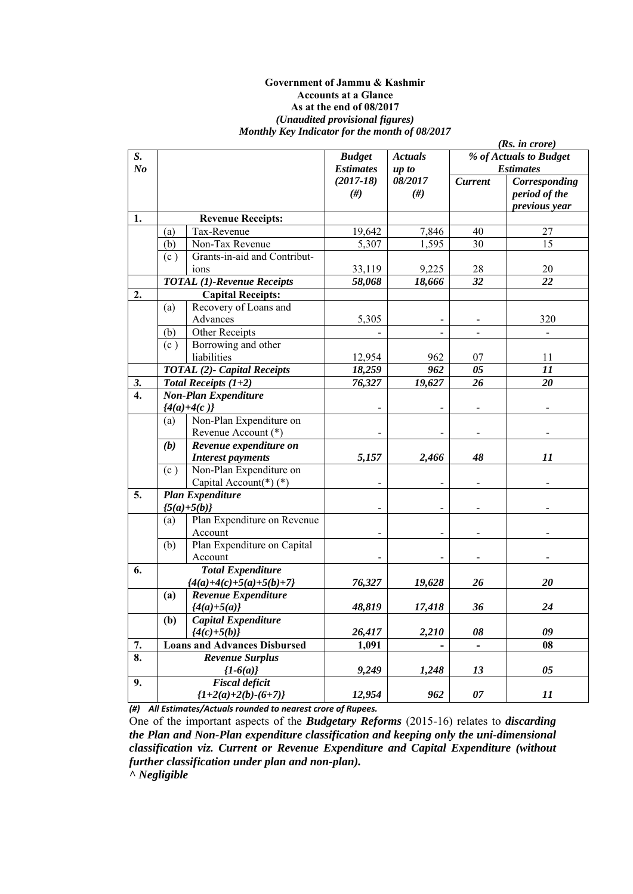#### **Government of Jammu & Kashmir Accounts at a Glance As at the end of 08/2017**  *(Unaudited provisional figures) Monthly Key Indicator for the month of 08/2017*

|                  |     |                                     |                  |                |                | (Rs. in <i>core</i> )  |
|------------------|-----|-------------------------------------|------------------|----------------|----------------|------------------------|
| S.               |     |                                     | <b>Budget</b>    | <b>Actuals</b> |                | % of Actuals to Budget |
| N <sub>o</sub>   |     |                                     | <b>Estimates</b> | up to          |                | <b>Estimates</b>       |
|                  |     |                                     | $(2017 - 18)$    | 08/2017        | <b>Current</b> | Corresponding          |
|                  |     |                                     | #)               | $(\#)$         |                | period of the          |
|                  |     |                                     |                  |                |                | previous year          |
| 1.               |     | <b>Revenue Receipts:</b>            |                  |                |                |                        |
|                  | (a) | Tax-Revenue                         | 19,642           | 7,846          | 40             | 27                     |
|                  | (b) | Non-Tax Revenue                     | 5,307            | 1,595          | 30             | 15                     |
|                  | (c) | Grants-in-aid and Contribut-        |                  |                |                |                        |
|                  |     | ions                                | 33,119           | 9,225          | 28             | $20\,$                 |
|                  |     | <b>TOTAL</b> (1)-Revenue Receipts   | 58,068           | 18,666         | 32             | 22                     |
| 2.               |     | <b>Capital Receipts:</b>            |                  |                |                |                        |
|                  | (a) | Recovery of Loans and               |                  |                |                |                        |
|                  |     | Advances                            | 5,305            |                |                | 320                    |
|                  | (b) | Other Receipts                      |                  |                |                |                        |
|                  | (c) | Borrowing and other                 |                  |                |                |                        |
|                  |     | liabilities                         | 12,954           | 962            | 07             | 11                     |
|                  |     | <b>TOTAL (2)- Capital Receipts</b>  | 18,259           | 962            | 05             | 11                     |
| 3.               |     | Total Receipts $(1+2)$              | 76,327           | 19,627         | 26             | 20                     |
| $\overline{4}$ . |     | <b>Non-Plan Expenditure</b>         |                  |                |                |                        |
|                  |     | ${4(a)+4(c)}$                       |                  |                |                |                        |
|                  | (a) | Non-Plan Expenditure on             |                  |                |                |                        |
|                  |     | Revenue Account (*)                 |                  |                |                |                        |
|                  | (b) | Revenue expenditure on              |                  |                |                |                        |
|                  |     | <b>Interest payments</b>            | 5,157            | 2,466          | 48             | 11                     |
|                  | (c) | Non-Plan Expenditure on             |                  |                |                |                        |
|                  |     | Capital Account(*)(*)               |                  |                |                |                        |
| 5.               |     | <b>Plan Expenditure</b>             |                  |                |                |                        |
|                  |     | ${5(a)+5(b)}$                       |                  |                |                |                        |
|                  | (a) | Plan Expenditure on Revenue         |                  |                |                |                        |
|                  |     | Account                             |                  |                |                |                        |
|                  | (b) | Plan Expenditure on Capital         |                  |                |                |                        |
|                  |     | Account                             |                  |                |                |                        |
| 6.               |     | <b>Total Expenditure</b>            |                  |                |                |                        |
|                  |     | ${4(a)+4(c)+5(a)+5(b)+7}$           | 76,327           | 19,628         | 26             | 20                     |
|                  | (a) | Revenue Expenditure                 |                  |                |                |                        |
|                  |     | ${4(a)+5(a)}$                       | 48,819           | 17,418         | 36             | 24                     |
|                  | (b) | <b>Capital Expenditure</b>          |                  |                |                |                        |
|                  |     | ${4(c)+5(b)}$                       | 26,417           | 2,210          | 08             | 09                     |
| 7.               |     | <b>Loans and Advances Disbursed</b> | 1,091            |                |                | 08                     |
| 8.               |     | <b>Revenue Surplus</b>              |                  |                |                |                        |
|                  |     | ${1-6(a)}$                          | 9,249            | 1,248          | 13             | 05                     |
| 9.               |     | <b>Fiscal deficit</b>               |                  |                |                |                        |
|                  |     | ${1+2(a)+2(b)-(6+7)}$               | 12,954           | 962            | 07             | 11                     |

*(#) All Estimates/Actuals rounded to nearest crore of Rupees.* 

One of the important aspects of the *Budgetary Reforms* (2015-16) relates to *discarding the Plan and Non-Plan expenditure classification and keeping only the uni-dimensional classification viz. Current or Revenue Expenditure and Capital Expenditure (without further classification under plan and non-plan).* 

*^ Negligible*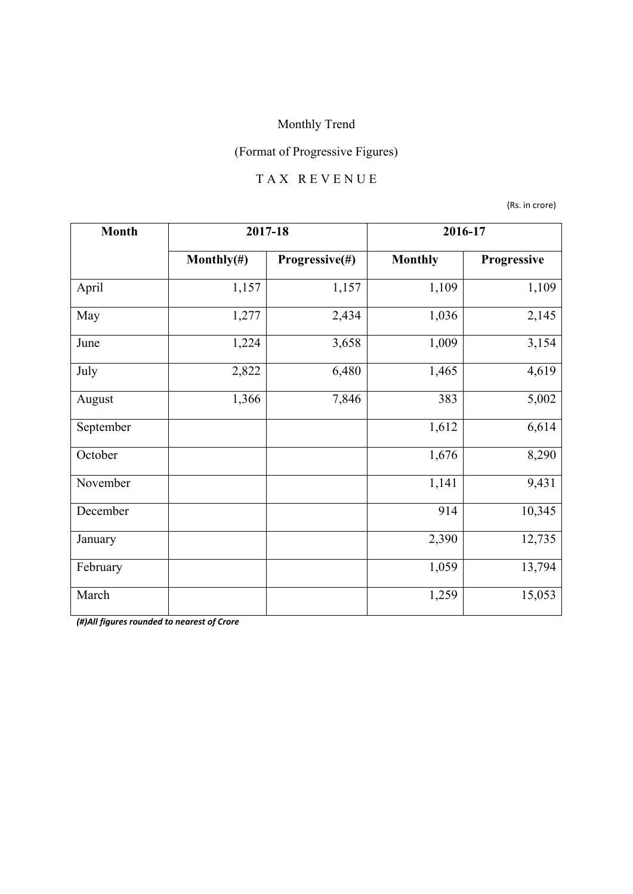## (Format of Progressive Figures)

#### T A X R E V E N U E

(Rs. in crore)

| <b>Month</b> | 2017-18        |                | 2016-17        |             |
|--------------|----------------|----------------|----------------|-------------|
|              | Monthly $(\#)$ | Progressive(#) | <b>Monthly</b> | Progressive |
| April        | 1,157          | 1,157          | 1,109          | 1,109       |
| May          | 1,277          | 2,434          | 1,036          | 2,145       |
| June         | 1,224          | 3,658          | 1,009          | 3,154       |
| July         | 2,822          | 6,480          | 1,465          | 4,619       |
| August       | 1,366          | 7,846          | 383            | 5,002       |
| September    |                |                | 1,612          | 6,614       |
| October      |                |                | 1,676          | 8,290       |
| November     |                |                | 1,141          | 9,431       |
| December     |                |                | 914            | 10,345      |
| January      |                |                | 2,390          | 12,735      |
| February     |                |                | 1,059          | 13,794      |
| March        |                |                | 1,259          | 15,053      |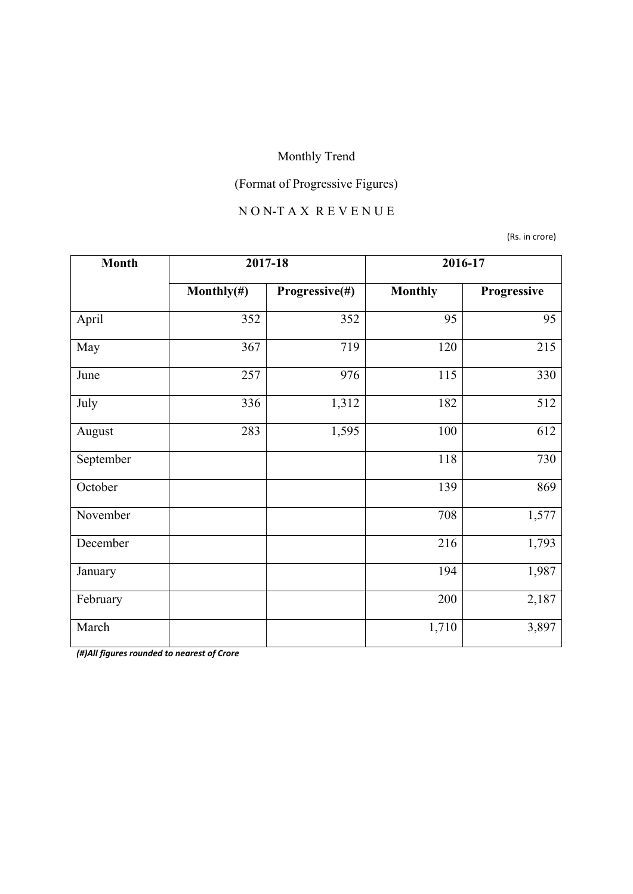# (Format of Progressive Figures)

## N O N-T A X R E V E N U E

(Rs. in crore)

| <b>Month</b> | 2017-18        |                | 2016-17        |             |
|--------------|----------------|----------------|----------------|-------------|
|              | Monthly $(\#)$ | Progressive(#) | <b>Monthly</b> | Progressive |
| April        | 352            | 352            | 95             | 95          |
| May          | 367            | 719            | 120            | 215         |
| June         | 257            | 976            | 115            | 330         |
| July         | 336            | 1,312          | 182            | 512         |
| August       | 283            | 1,595          | 100            | 612         |
| September    |                |                | 118            | 730         |
| October      |                |                | 139            | 869         |
| November     |                |                | 708            | 1,577       |
| December     |                |                | 216            | 1,793       |
| January      |                |                | 194            | 1,987       |
| February     |                |                | 200            | 2,187       |
| March        |                |                | 1,710          | 3,897       |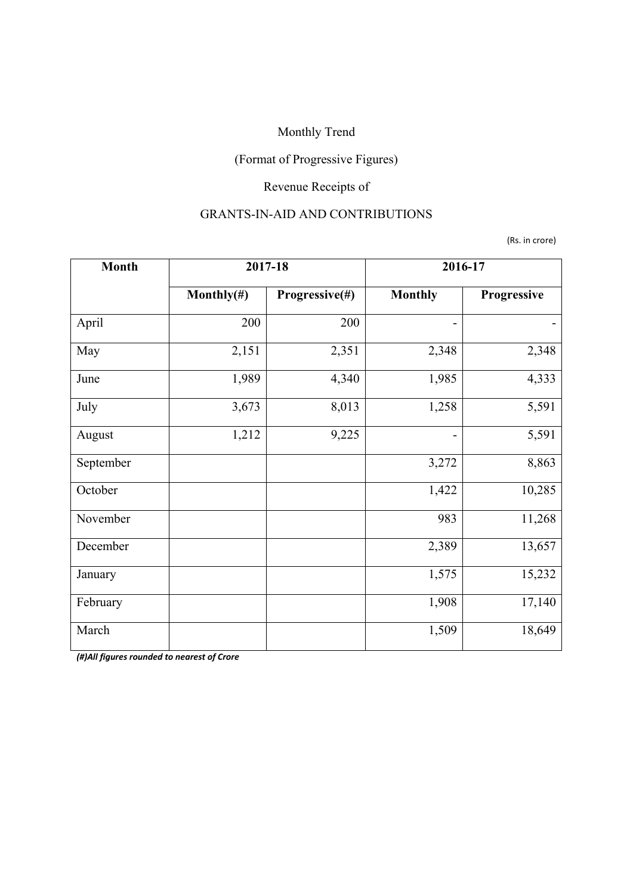## (Format of Progressive Figures)

## Revenue Receipts of

#### GRANTS-IN-AID AND CONTRIBUTIONS

(Rs. in crore)

| <b>Month</b> | 2017-18        |                | 2016-17                      |             |
|--------------|----------------|----------------|------------------------------|-------------|
|              | Monthly $(\#)$ | Progressive(#) | <b>Monthly</b>               | Progressive |
| April        | 200            | 200            | -                            |             |
| May          | 2,151          | 2,351          | 2,348                        | 2,348       |
| June         | 1,989          | 4,340          | 1,985                        | 4,333       |
| July         | 3,673          | 8,013          | 1,258                        | 5,591       |
| August       | 1,212          | 9,225          | $\qquad \qquad \blacksquare$ | 5,591       |
| September    |                |                | 3,272                        | 8,863       |
| October      |                |                | 1,422                        | 10,285      |
| November     |                |                | 983                          | 11,268      |
| December     |                |                | 2,389                        | 13,657      |
| January      |                |                | 1,575                        | 15,232      |
| February     |                |                | 1,908                        | 17,140      |
| March        |                |                | 1,509                        | 18,649      |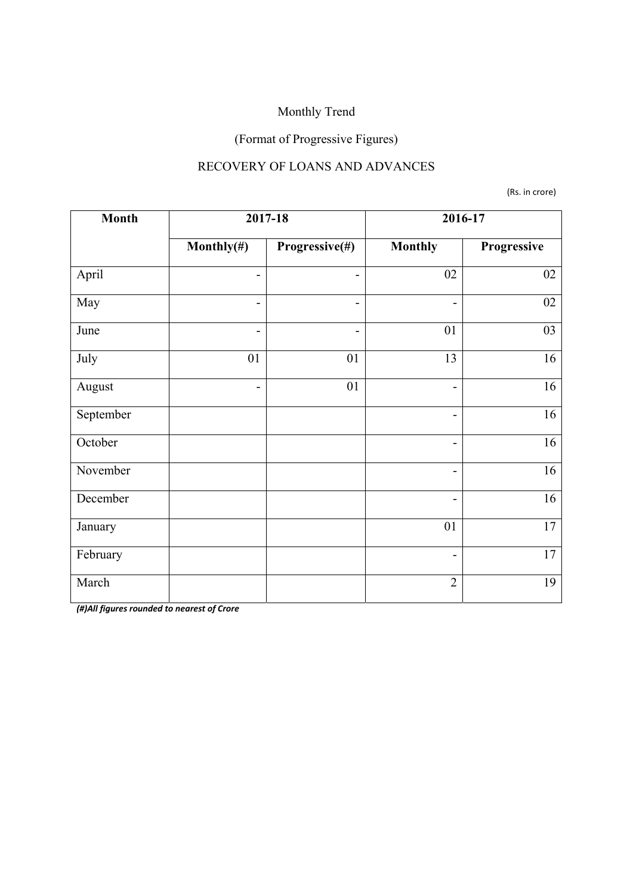## (Format of Progressive Figures)

#### RECOVERY OF LOANS AND ADVANCES

(Rs. in crore)

| <b>Month</b> | 2017-18        |                | 2016-17                      |             |
|--------------|----------------|----------------|------------------------------|-------------|
|              | Monthly $(\#)$ | Progressive(#) | <b>Monthly</b>               | Progressive |
| April        | -              | -              | 02                           | 02          |
| May          | -              | -              | $\overline{\phantom{a}}$     | $02\,$      |
| June         | $\overline{a}$ | -              | 01                           | 03          |
| July         | 01             | 01             | 13                           | 16          |
| August       | $\overline{a}$ | 01             | $\qquad \qquad \blacksquare$ | 16          |
| September    |                |                | $\qquad \qquad \blacksquare$ | 16          |
| October      |                |                | $\overline{\phantom{a}}$     | 16          |
| November     |                |                | $\overline{\phantom{a}}$     | 16          |
| December     |                |                | $\overline{\phantom{0}}$     | 16          |
| January      |                |                | 01                           | 17          |
| February     |                |                | $\overline{\phantom{a}}$     | 17          |
| March        |                |                | $\overline{2}$               | 19          |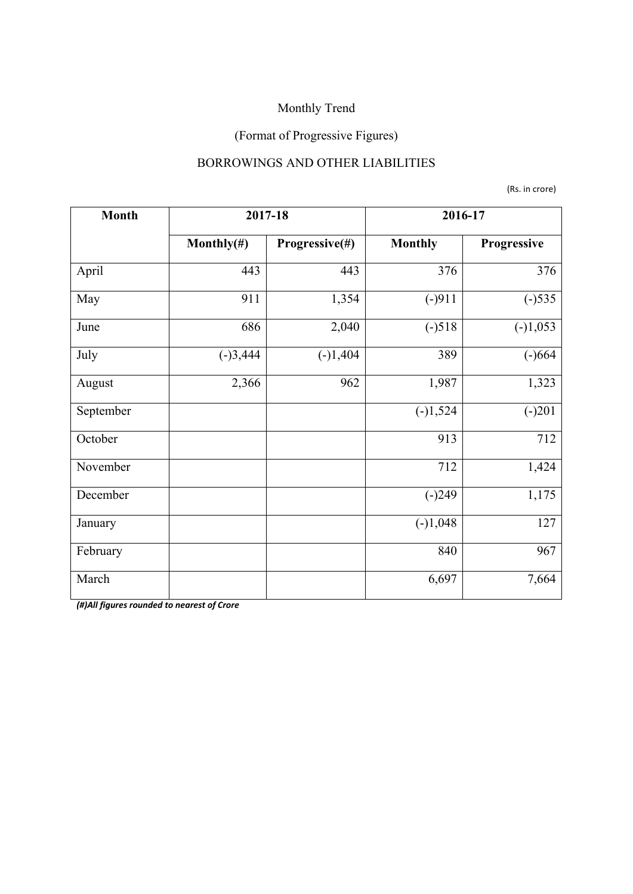## (Format of Progressive Figures)

#### BORROWINGS AND OTHER LIABILITIES

(Rs. in crore)

| <b>Month</b> | 2017-18        |                | 2016-17        |             |
|--------------|----------------|----------------|----------------|-------------|
|              | Monthly $(\#)$ | Progressive(#) | <b>Monthly</b> | Progressive |
| April        | 443            | 443            | 376            | 376         |
| May          | 911            | 1,354          | $(-)911$       | $(-)535$    |
| June         | 686            | 2,040          | $(-)518$       | $(-)1,053$  |
| July         | $(-)3,444$     | $(-)1,404$     | 389            | $(-)664$    |
| August       | 2,366          | 962            | 1,987          | 1,323       |
| September    |                |                | $(-)1,524$     | $(-)201$    |
| October      |                |                | 913            | 712         |
| November     |                |                | 712            | 1,424       |
| December     |                |                | $(-)249$       | 1,175       |
| January      |                |                | $(-)1,048$     | 127         |
| February     |                |                | 840            | 967         |
| March        |                |                | 6,697          | 7,664       |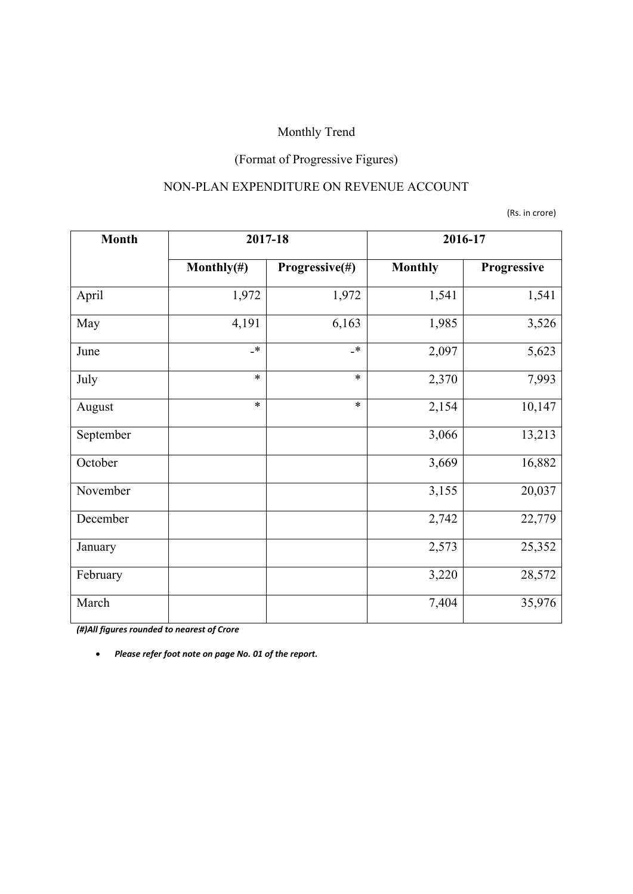## (Format of Progressive Figures)

#### NON-PLAN EXPENDITURE ON REVENUE ACCOUNT

(Rs. in crore)

| <b>Month</b> | 2017-18        |                           | 2016-17        |             |
|--------------|----------------|---------------------------|----------------|-------------|
|              | Monthly $(\#)$ | Progressive(#)            | <b>Monthly</b> | Progressive |
| April        | 1,972          | 1,972                     | 1,541          | 1,541       |
| May          | 4,191          | 6,163                     | 1,985          | 3,526       |
| June         | $\mathbf{R}^*$ | $\mathbf{\mathbf{\star}}$ | 2,097          | 5,623       |
| July         | $\ast$         | $\ast$                    | 2,370          | 7,993       |
| August       | $\ast$         | $\ast$                    | 2,154          | 10,147      |
| September    |                |                           | 3,066          | 13,213      |
| October      |                |                           | 3,669          | 16,882      |
| November     |                |                           | 3,155          | 20,037      |
| December     |                |                           | 2,742          | 22,779      |
| January      |                |                           | 2,573          | 25,352      |
| February     |                |                           | 3,220          | 28,572      |
| March        |                |                           | 7,404          | 35,976      |

*(#)All figures rounded to nearest of Crore*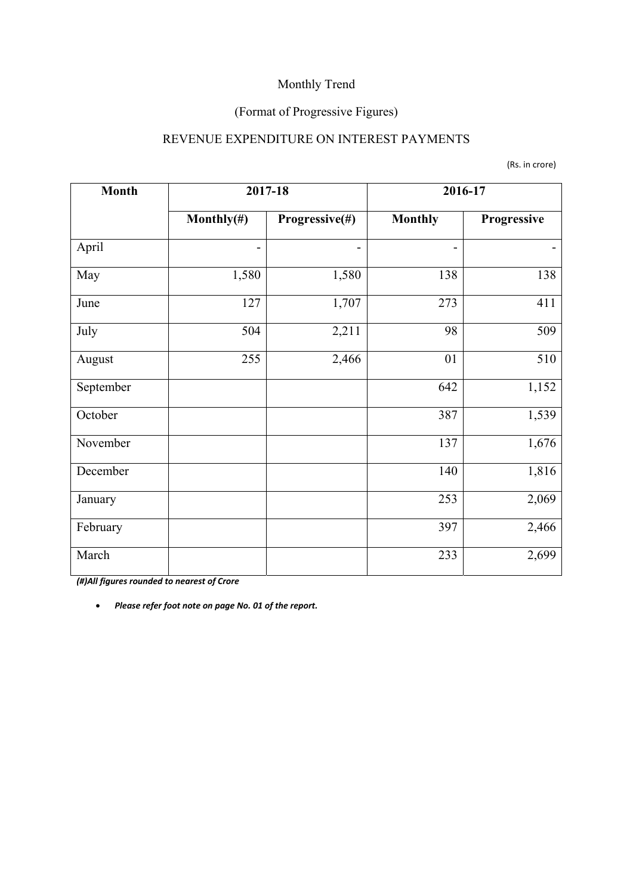## (Format of Progressive Figures)

#### REVENUE EXPENDITURE ON INTEREST PAYMENTS

|  | (Rs. in crore) |
|--|----------------|
|--|----------------|

| <b>Month</b> |                          | 2017-18        | 2016-17        |             |
|--------------|--------------------------|----------------|----------------|-------------|
|              | Monthly $(\#)$           | Progressive(#) | <b>Monthly</b> | Progressive |
| April        | $\overline{\phantom{0}}$ | -              | -              |             |
| May          | 1,580                    | 1,580          | 138            | 138         |
| June         | 127                      | 1,707          | 273            | 411         |
| July         | 504                      | 2,211          | 98             | 509         |
| August       | 255                      | 2,466          | 01             | 510         |
| September    |                          |                | 642            | 1,152       |
| October      |                          |                | 387            | 1,539       |
| November     |                          |                | 137            | 1,676       |
| December     |                          |                | 140            | 1,816       |
| January      |                          |                | 253            | 2,069       |
| February     |                          |                | 397            | 2,466       |
| March        |                          |                | 233            | 2,699       |

*(#)All figures rounded to nearest of Crore*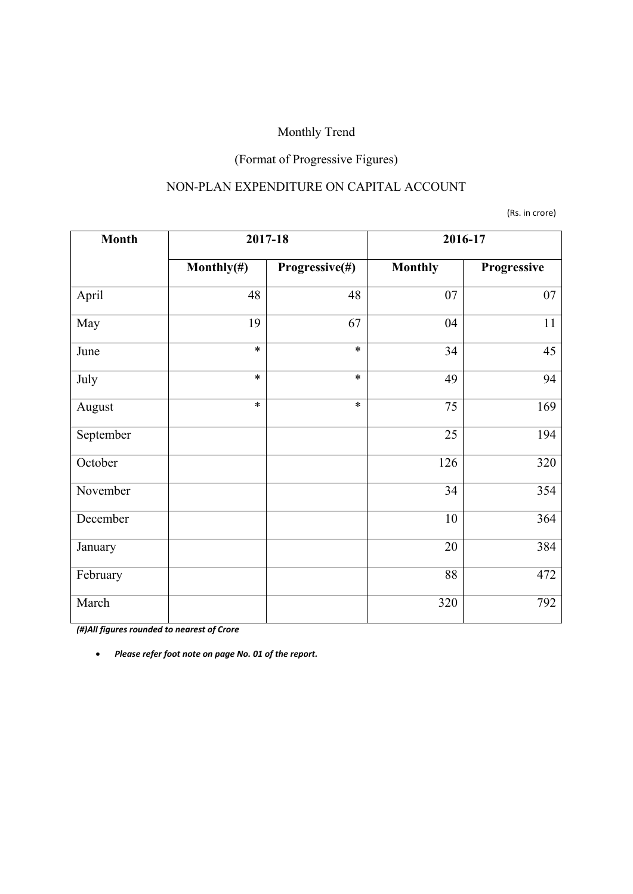## (Format of Progressive Figures)

#### NON-PLAN EXPENDITURE ON CAPITAL ACCOUNT

(Rs. in crore)

| <b>Month</b> | 2017-18        |                | 2016-17        |             |
|--------------|----------------|----------------|----------------|-------------|
|              | Monthly $(\#)$ | Progressive(#) | <b>Monthly</b> | Progressive |
| April        | 48             | 48             | 07             | 07          |
| May          | 19             | 67             | 04             | 11          |
| June         | $\ast$         | $\ast$         | 34             | 45          |
| July         | $\ast$         | $\ast$         | 49             | 94          |
| August       | $\ast$         | $\ast$         | 75             | 169         |
| September    |                |                | 25             | 194         |
| October      |                |                | 126            | 320         |
| November     |                |                | 34             | 354         |
| December     |                |                | $10\,$         | 364         |
| January      |                |                | 20             | 384         |
| February     |                |                | 88             | 472         |
| March        |                |                | 320            | 792         |

*(#)All figures rounded to nearest of Crore*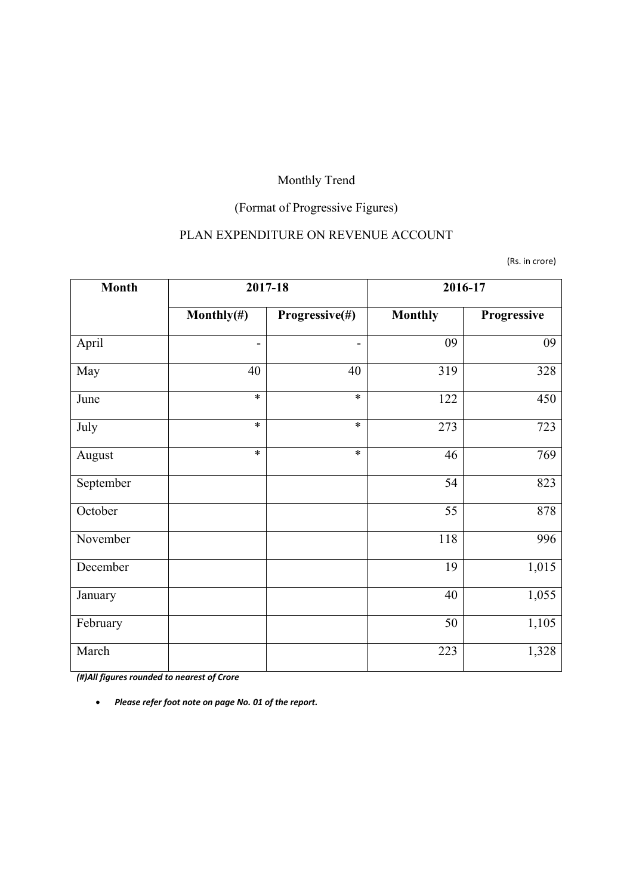## (Format of Progressive Figures)

### PLAN EXPENDITURE ON REVENUE ACCOUNT

(Rs. in crore)

| <b>Month</b> | 2017-18                      |                | 2016-17        |             |
|--------------|------------------------------|----------------|----------------|-------------|
|              | Monthly $(\#)$               | Progressive(#) | <b>Monthly</b> | Progressive |
| April        | $\qquad \qquad \blacksquare$ |                | 09             | 09          |
| May          | 40                           | 40             | 319            | 328         |
| June         | $\ast$                       | $\ast$         | 122            | 450         |
| July         | $\ast$                       | $\ast$         | 273            | 723         |
| August       | $\ast$                       | $\ast$         | 46             | 769         |
| September    |                              |                | 54             | 823         |
| October      |                              |                | 55             | 878         |
| November     |                              |                | 118            | 996         |
| December     |                              |                | 19             | 1,015       |
| January      |                              |                | 40             | 1,055       |
| February     |                              |                | 50             | 1,105       |
| March        |                              |                | 223            | 1,328       |

*(#)All figures rounded to nearest of Crore*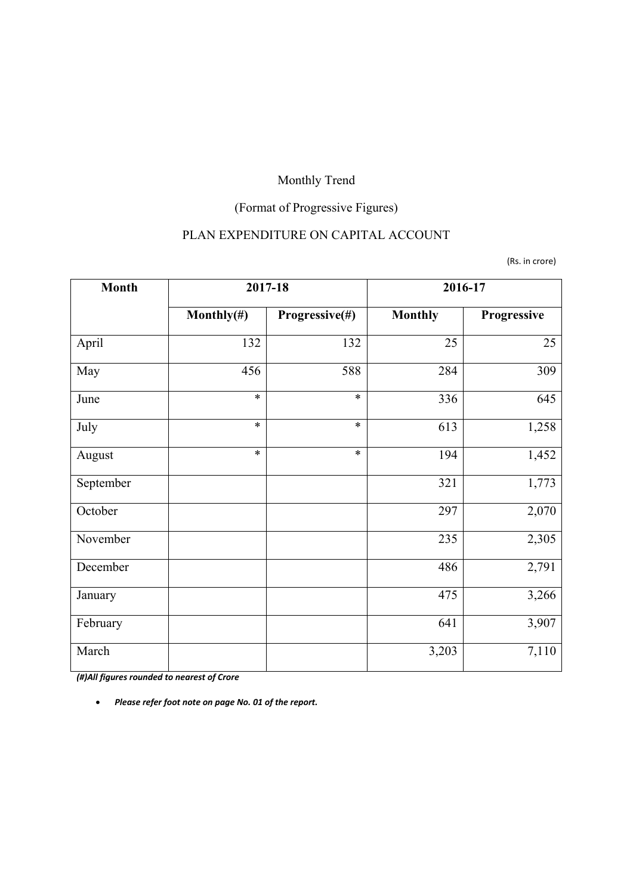## (Format of Progressive Figures)

#### PLAN EXPENDITURE ON CAPITAL ACCOUNT

(Rs. in crore)

| <b>Month</b> | 2017-18        |                | 2016-17        |             |
|--------------|----------------|----------------|----------------|-------------|
|              | Monthly $(\#)$ | Progressive(#) | <b>Monthly</b> | Progressive |
| April        | 132            | 132            | 25             | 25          |
| May          | 456            | 588            | 284            | 309         |
| June         | $\ast$         | $\ast$         | 336            | 645         |
| July         | $\ast$         | $\ast$         | 613            | 1,258       |
| August       | $\ast$         | $\ast$         | 194            | 1,452       |
| September    |                |                | 321            | 1,773       |
| October      |                |                | 297            | 2,070       |
| November     |                |                | 235            | 2,305       |
| December     |                |                | 486            | 2,791       |
| January      |                |                | 475            | 3,266       |
| February     |                |                | 641            | 3,907       |
| March        |                |                | 3,203          | 7,110       |

*(#)All figures rounded to nearest of Crore*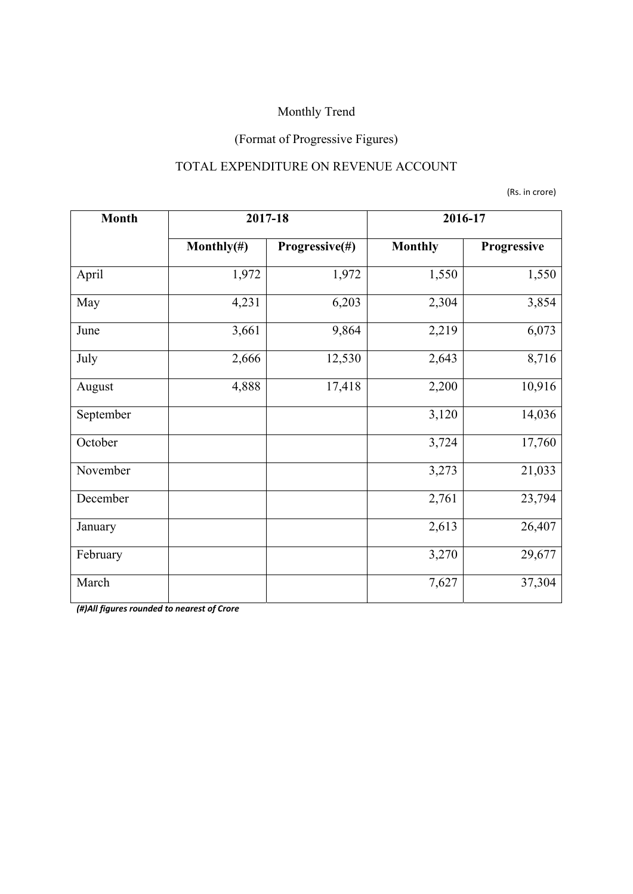## (Format of Progressive Figures)

#### TOTAL EXPENDITURE ON REVENUE ACCOUNT

(Rs. in crore)

| <b>Month</b> | 2017-18        |                | 2016-17        |             |  |
|--------------|----------------|----------------|----------------|-------------|--|
|              | Monthly $(\#)$ | Progressive(#) | <b>Monthly</b> | Progressive |  |
| April        | 1,972          | 1,972          | 1,550          | 1,550       |  |
| May          | 4,231          | 6,203          | 2,304          | 3,854       |  |
| June         | 3,661          | 9,864          | 2,219          | 6,073       |  |
| July         | 2,666          | 12,530         | 2,643          | 8,716       |  |
| August       | 4,888          | 17,418         | 2,200          | 10,916      |  |
| September    |                |                | 3,120          | 14,036      |  |
| October      |                |                | 3,724          | 17,760      |  |
| November     |                |                | 3,273          | 21,033      |  |
| December     |                |                | 2,761          | 23,794      |  |
| January      |                |                | 2,613          | 26,407      |  |
| February     |                |                | 3,270          | 29,677      |  |
| March        |                |                | 7,627          | 37,304      |  |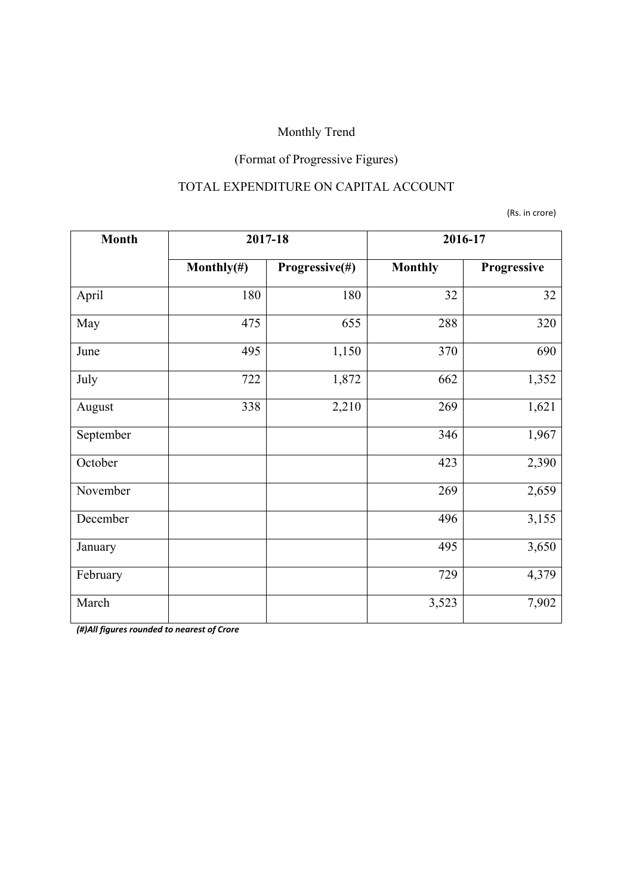## (Format of Progressive Figures)

### TOTAL EXPENDITURE ON CAPITAL ACCOUNT

(Rs. in crore)

| <b>Month</b> | 2017-18                          |       | 2016-17        |             |  |
|--------------|----------------------------------|-------|----------------|-------------|--|
|              | Progressive(#)<br>Monthly $(\#)$ |       | <b>Monthly</b> | Progressive |  |
| April        | 180                              | 180   | 32             | 32          |  |
| May          | 475                              | 655   | 288            | 320         |  |
| June         | 495                              | 1,150 | 370            | 690         |  |
| July         | 722                              | 1,872 | 662            | 1,352       |  |
| August       | 338                              | 2,210 | 269            | 1,621       |  |
| September    |                                  |       | 346            | 1,967       |  |
| October      |                                  |       | 423            | 2,390       |  |
| November     |                                  |       | 269            | 2,659       |  |
| December     |                                  |       | 496            | 3,155       |  |
| January      |                                  |       | 495            | 3,650       |  |
| February     |                                  |       | 729            | 4,379       |  |
| March        |                                  |       | 3,523          | 7,902       |  |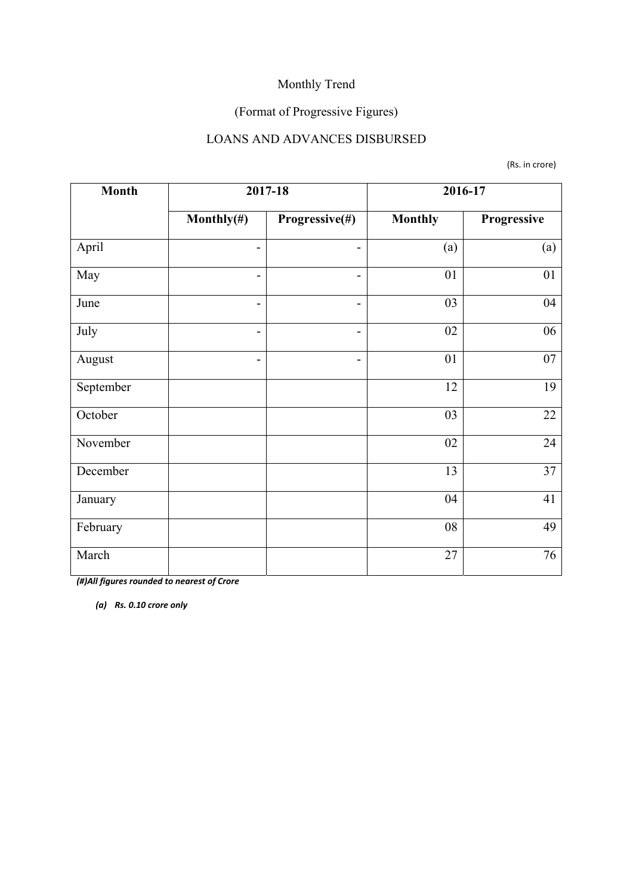## (Format of Progressive Figures)

#### LOANS AND ADVANCES DISBURSED

(Rs. in crore)

| <b>Month</b> |                              | 2017-18        | 2016-17        |             |  |
|--------------|------------------------------|----------------|----------------|-------------|--|
|              | Monthly $(\#)$               | Progressive(#) | <b>Monthly</b> | Progressive |  |
| April        | $\qquad \qquad \blacksquare$ | -              | (a)            | (a)         |  |
| May          | $\qquad \qquad \blacksquare$ | -              | 01             | 01          |  |
| June         | $\qquad \qquad \blacksquare$ | -              | 03             | 04          |  |
| July         | $\overline{\phantom{a}}$     | -              | 02             | 06          |  |
| August       | $\qquad \qquad \blacksquare$ | -              | 01             | 07          |  |
| September    |                              |                | 12             | 19          |  |
| October      |                              |                | 03             | 22          |  |
| November     |                              |                | 02             | 24          |  |
| December     |                              |                | 13             | 37          |  |
| January      |                              |                | 04             | 41          |  |
| February     |                              |                | 08             | 49          |  |
| March        |                              |                | 27             | 76          |  |

*(#)All figures rounded to nearest of Crore* 

*(a) Rs. 0.10 crore only*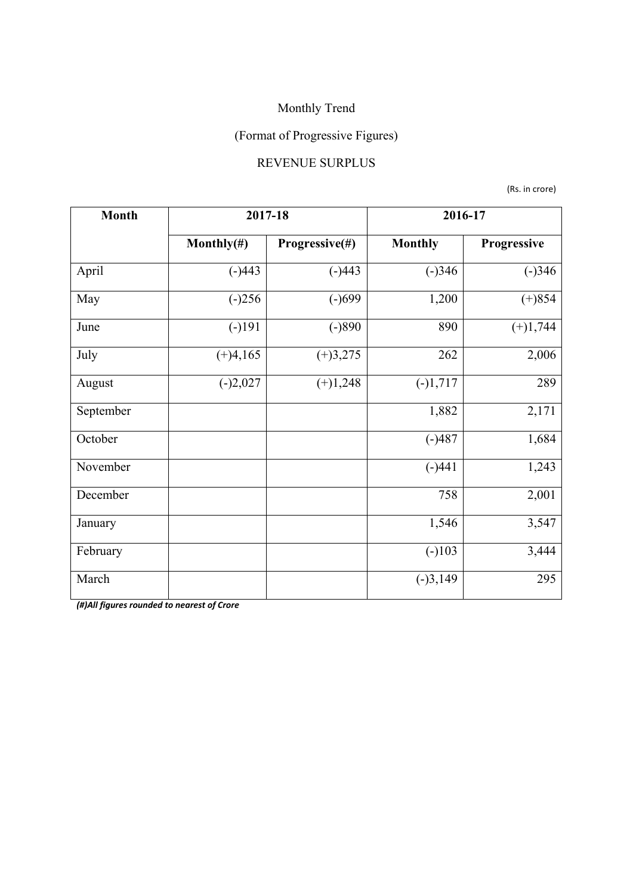## (Format of Progressive Figures)

#### REVENUE SURPLUS

(Rs. in crore)

| <b>Month</b> | 2017-18        |                | 2016-17        |             |  |
|--------------|----------------|----------------|----------------|-------------|--|
|              | Monthly $(\#)$ | Progressive(#) | <b>Monthly</b> | Progressive |  |
| April        | $(-)443$       | $(-)443$       | $(-)346$       | $(-)346$    |  |
| May          | $(-)256$       | $(-)699$       | 1,200          | $(+)854$    |  |
| June         | $(-)191$       | $(-)890$       | 890            | $(+)1,744$  |  |
| July         | $(+)4,165$     | $(+)3,275$     | 262            | 2,006       |  |
| August       | $(-)2,027$     | $(+)1,248$     | $(-)1,717$     | 289         |  |
| September    |                |                | 1,882          | 2,171       |  |
| October      |                |                | $(-)487$       | 1,684       |  |
| November     |                |                | $(-)441$       | 1,243       |  |
| December     |                |                | 758            | 2,001       |  |
| January      |                |                | 1,546          | 3,547       |  |
| February     |                |                | $(-)103$       | 3,444       |  |
| March        |                |                | $(-)3,149$     | 295         |  |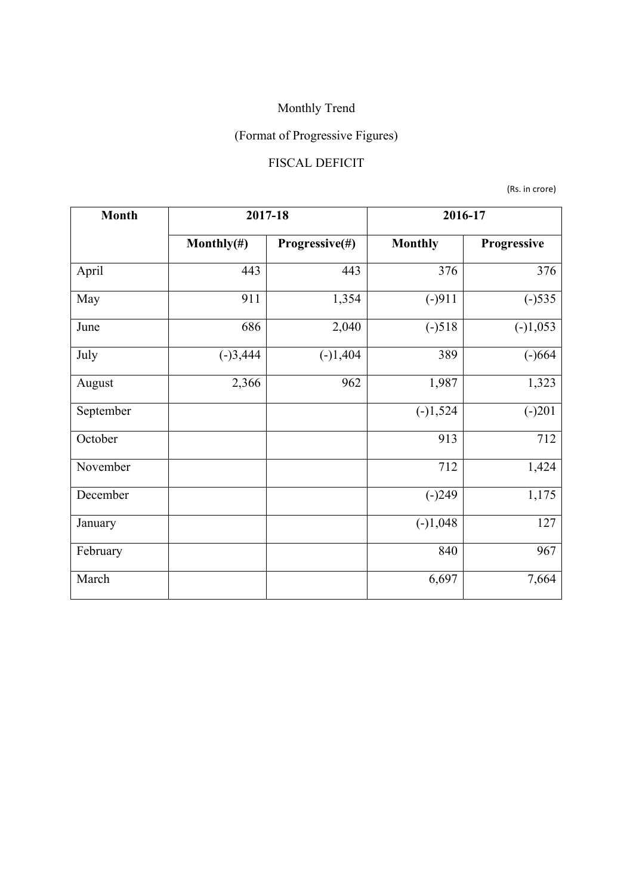# (Format of Progressive Figures)

## FISCAL DEFICIT

(Rs. in crore)

| <b>Month</b> | 2017-18        |                | 2016-17        |             |  |
|--------------|----------------|----------------|----------------|-------------|--|
|              | Monthly $(\#)$ | Progressive(#) | <b>Monthly</b> | Progressive |  |
| April        | 443            | 443            | 376            | 376         |  |
| May          | 911            | 1,354          | $(-)911$       | $(-)535$    |  |
| June         | 686            | 2,040          | $(-)518$       | $(-)1,053$  |  |
| July         | $(-)3,444$     | $(-)1,404$     | 389            | $(-)664$    |  |
| August       | 2,366          | 962            | 1,987          | 1,323       |  |
| September    |                |                | $(-)1,524$     | $(-)201$    |  |
| October      |                |                | 913            | 712         |  |
| November     |                |                | 712            | 1,424       |  |
| December     |                |                | $(-)249$       | 1,175       |  |
| January      |                |                | $(-)1,048$     | 127         |  |
| February     |                |                | 840            | 967         |  |
| March        |                |                | 6,697          | 7,664       |  |